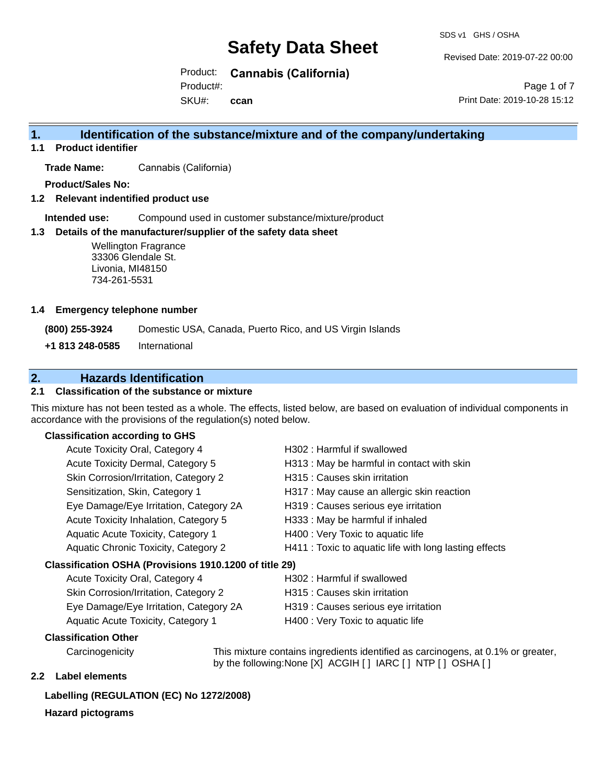SDS v1 GHS / OSHA

Revised Date: 2019-07-22 00:00

Product: **Cannabis (California)** SKU#: Product#: **ccan**

Page 1 of 7 Print Date: 2019-10-28 15:12

# **1. Identification of the substance/mixture and of the company/undertaking**

**1.1 Product identifier**

**Trade Name:** Cannabis (California)

**Product/Sales No:**

**1.2 Relevant indentified product use**

**Intended use:** Compound used in customer substance/mixture/product

#### **1.3 Details of the manufacturer/supplier of the safety data sheet**

Wellington Fragrance 33306 Glendale St. Livonia, MI48150 734-261-5531

#### **1.4 Emergency telephone number**

**(800) 255-3924** Domestic USA, Canada, Puerto Rico, and US Virgin Islands

**+1 813 248-0585** International

### **2. Hazards Identification**

#### **2.1 Classification of the substance or mixture**

This mixture has not been tested as a whole. The effects, listed below, are based on evaluation of individual components in accordance with the provisions of the regulation(s) noted below.

#### **Classification according to GHS**

| Acute Toxicity Oral, Category 4                        | H302: Harmful if swallowed                             |
|--------------------------------------------------------|--------------------------------------------------------|
| Acute Toxicity Dermal, Category 5                      | H313: May be harmful in contact with skin              |
| Skin Corrosion/Irritation, Category 2                  | H315 : Causes skin irritation                          |
| Sensitization, Skin, Category 1                        | H317 : May cause an allergic skin reaction             |
| Eye Damage/Eye Irritation, Category 2A                 | H319 : Causes serious eye irritation                   |
| Acute Toxicity Inhalation, Category 5                  | H333: May be harmful if inhaled                        |
| Aquatic Acute Toxicity, Category 1                     | H400 : Very Toxic to aquatic life                      |
| Aquatic Chronic Toxicity, Category 2                   | H411 : Toxic to aquatic life with long lasting effects |
| Classification OSHA (Provisions 1910.1200 of title 29) |                                                        |
| Acute Toxicity Oral Category 4                         | $H302 \cdot Harmful$ if swallowed                      |

| Acute Toxicity Oral, Category 4        | H302 : Harmful if swallowed          |
|----------------------------------------|--------------------------------------|
| Skin Corrosion/Irritation, Category 2  | H315 : Causes skin irritation        |
| Eye Damage/Eye Irritation, Category 2A | H319 : Causes serious eye irritation |
| Aquatic Acute Toxicity, Category 1     | H400 : Very Toxic to aquatic life    |

#### **Classification Other**

Carcinogenicity This mixture contains ingredients identified as carcinogens, at 0.1% or greater, by the following:None [X] ACGIH [ ] IARC [ ] NTP [ ] OSHA [ ]

### **2.2 Label elements**

### **Labelling (REGULATION (EC) No 1272/2008)**

#### **Hazard pictograms**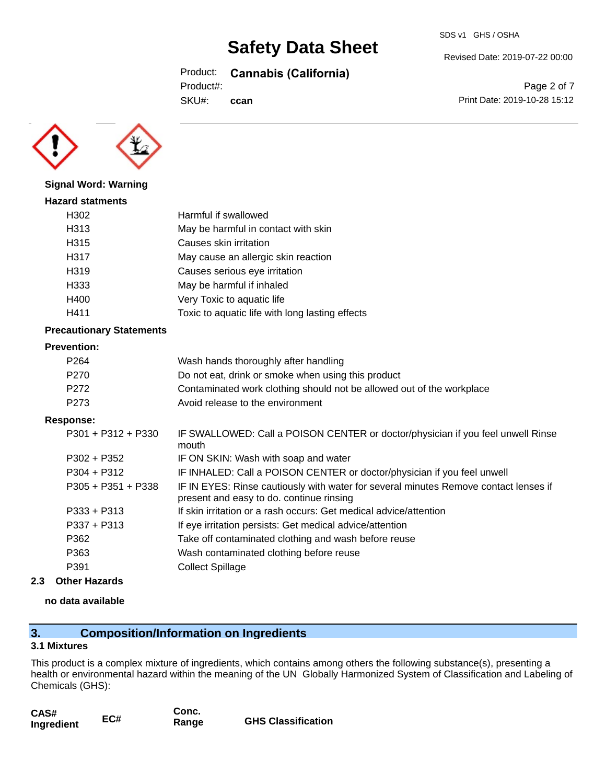Product: **Cannabis (California)**

**ccan**

Product#:

SKU#:



**Signal Word: Warning**

# **Hazard statments** H302 Harmful if swallowed H313 May be harmful in contact with skin H315 Causes skin irritation H317 May cause an allergic skin reaction H319 Causes serious eye irritation H333 May be harmful if inhaled H400 Very Toxic to aquatic life H411 Toxic to aquatic life with long lasting effects

#### **Precautionary Statements**

#### **Prevention:**

| P <sub>264</sub> | Wash hands thoroughly after handling                                  |
|------------------|-----------------------------------------------------------------------|
| P270             | Do not eat, drink or smoke when using this product                    |
| P272             | Contaminated work clothing should not be allowed out of the workplace |
| P273             | Avoid release to the environment                                      |

#### **Response:**

| P301 + P312 + P330   | IF SWALLOWED: Call a POISON CENTER or doctor/physician if you feel unwell Rinse<br>mouth                                         |
|----------------------|----------------------------------------------------------------------------------------------------------------------------------|
| $P302 + P352$        | IF ON SKIN: Wash with soap and water                                                                                             |
| $P304 + P312$        | IF INHALED: Call a POISON CENTER or doctor/physician if you feel unwell                                                          |
| $P305 + P351 + P338$ | IF IN EYES: Rinse cautiously with water for several minutes Remove contact lenses if<br>present and easy to do. continue rinsing |
| $P333 + P313$        | If skin irritation or a rash occurs: Get medical advice/attention                                                                |
| $P337 + P313$        | If eye irritation persists: Get medical advice/attention                                                                         |
| P362                 | Take off contaminated clothing and wash before reuse                                                                             |
| P363                 | Wash contaminated clothing before reuse                                                                                          |
| P391                 | <b>Collect Spillage</b>                                                                                                          |
|                      |                                                                                                                                  |

#### **2.3 Other Hazards**

#### **no data available**

# **3. Composition/Information on Ingredients**

#### **3.1 Mixtures**

This product is a complex mixture of ingredients, which contains among others the following substance(s), presenting a health or environmental hazard within the meaning of the UN Globally Harmonized System of Classification and Labeling of Chemicals (GHS):

| CAS#       |     | Conc. |                           |
|------------|-----|-------|---------------------------|
| Ingredient | EC# | Range | <b>GHS Classification</b> |

Revised Date: 2019-07-22 00:00

Page 2 of 7 Print Date: 2019-10-28 15:12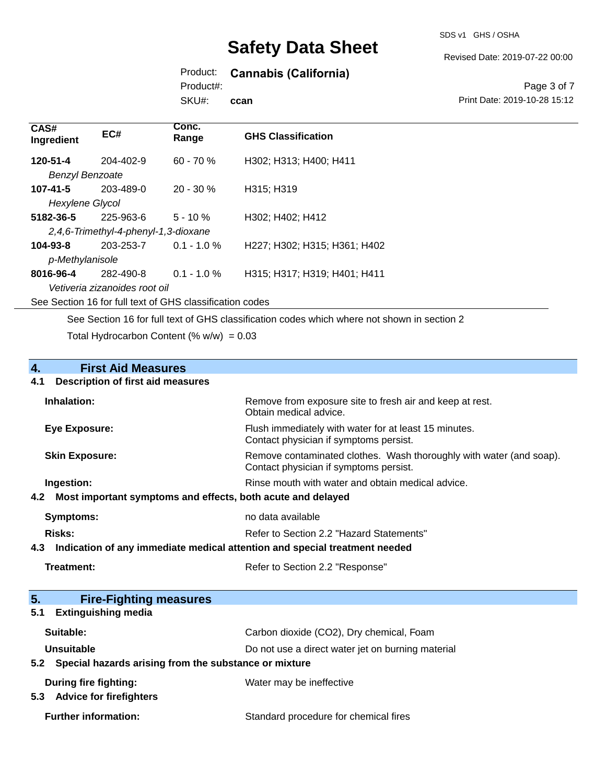SDS v1 GHS / OSHA

Revised Date: 2019-07-22 00:00

# Product: **Cannabis (California)**

Product#:

SKU#: **ccan**

#### Page 3 of 7 Print Date: 2019-10-28 15:12

| CAS#<br>Ingredient     | EC#                                                      | Conc.<br>Range | <b>GHS Classification</b>    |
|------------------------|----------------------------------------------------------|----------------|------------------------------|
| 120-51-4               | $204 - 402 - 9$                                          | $60 - 70%$     | H302; H313; H400; H411       |
| <b>Benzyl Benzoate</b> |                                                          |                |                              |
| $107 - 41 - 5$         | 203-489-0                                                | $20 - 30 \%$   | H315; H319                   |
| Hexylene Glycol        |                                                          |                |                              |
| 5182-36-5              | 225-963-6                                                | $5 - 10 \%$    | H302; H402; H412             |
|                        | 2,4,6-Trimethyl-4-phenyl-1,3-dioxane                     |                |                              |
| 104-93-8               | 203-253-7                                                | $0.1 - 1.0 \%$ | H227; H302; H315; H361; H402 |
| p-Methylanisole        |                                                          |                |                              |
| 8016-96-4              | 282-490-8                                                | $0.1 - 1.0 \%$ | H315; H317; H319; H401; H411 |
|                        | Vetiveria zizanoides root oil                            |                |                              |
|                        | See Section 16 for full text of GHS classification codes |                |                              |

See Section 16 for full text of GHS classification codes which where not shown in section 2

Total Hydrocarbon Content (%  $w/w$ ) = 0.03

# **4. First Aid Measures**

#### **4.1 Description of first aid measures**

| Inhalation:           | Remove from exposure site to fresh air and keep at rest.<br>Obtain medical advice.                            |
|-----------------------|---------------------------------------------------------------------------------------------------------------|
| <b>Eye Exposure:</b>  | Flush immediately with water for at least 15 minutes.<br>Contact physician if symptoms persist.               |
| <b>Skin Exposure:</b> | Remove contaminated clothes. Wash thoroughly with water (and soap).<br>Contact physician if symptoms persist. |
| Ingestion:            | Rinse mouth with water and obtain medical advice.                                                             |
|                       | 4.2 Most important symptoms and effects, both acute and delayed                                               |
| Symptoms:             | no data available                                                                                             |
| Risks:                | Refer to Section 2.2 "Hazard Statements"                                                                      |

#### **4.3 Indication of any immediate medical attention and special treatment needed**

### Treatment: Treatment: Treatment: Refer to Section 2.2 "Response"

| 5.<br><b>Fire-Fighting measures</b>                                     |                                                   |
|-------------------------------------------------------------------------|---------------------------------------------------|
| <b>Extinguishing media</b><br>5.1                                       |                                                   |
| Suitable:                                                               | Carbon dioxide (CO2), Dry chemical, Foam          |
| Unsuitable<br>5.2 Special hazards arising from the substance or mixture | Do not use a direct water jet on burning material |
| <b>During fire fighting:</b><br><b>Advice for firefighters</b><br>5.3   | Water may be ineffective                          |
| <b>Further information:</b>                                             | Standard procedure for chemical fires             |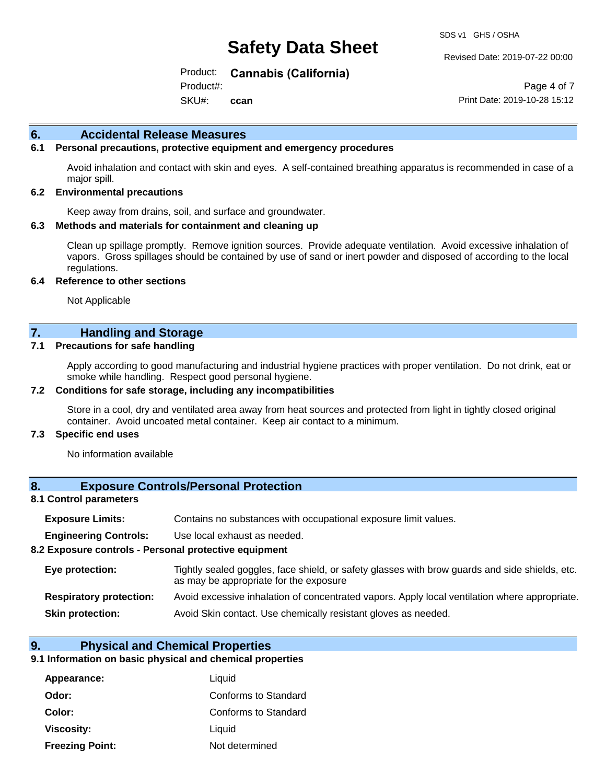Revised Date: 2019-07-22 00:00

Product: **Cannabis (California)**

SKU#: Product#: **ccan**

Page 4 of 7 Print Date: 2019-10-28 15:12

#### **6. Accidental Release Measures**

#### **6.1 Personal precautions, protective equipment and emergency procedures**

Avoid inhalation and contact with skin and eyes. A self-contained breathing apparatus is recommended in case of a major spill.

#### **6.2 Environmental precautions**

Keep away from drains, soil, and surface and groundwater.

#### **6.3 Methods and materials for containment and cleaning up**

Clean up spillage promptly. Remove ignition sources. Provide adequate ventilation. Avoid excessive inhalation of vapors. Gross spillages should be contained by use of sand or inert powder and disposed of according to the local regulations.

#### **6.4 Reference to other sections**

Not Applicable

### **7. Handling and Storage**

#### **7.1 Precautions for safe handling**

Apply according to good manufacturing and industrial hygiene practices with proper ventilation. Do not drink, eat or smoke while handling. Respect good personal hygiene.

#### **7.2 Conditions for safe storage, including any incompatibilities**

Store in a cool, dry and ventilated area away from heat sources and protected from light in tightly closed original container. Avoid uncoated metal container. Keep air contact to a minimum.

#### **7.3 Specific end uses**

No information available

#### **8. Exposure Controls/Personal Protection**

#### **8.1 Control parameters**

| <b>Exposure Limits:</b> |  |  |  | Contains no substances with occupational exposure limit values. |  |
|-------------------------|--|--|--|-----------------------------------------------------------------|--|
|-------------------------|--|--|--|-----------------------------------------------------------------|--|

**Engineering Controls:** Use local exhaust as needed.

#### **8.2 Exposure controls - Personal protective equipment**

| Eye protection:                | Tightly sealed goggles, face shield, or safety glasses with brow guards and side shields, etc.<br>as may be appropriate for the exposure |
|--------------------------------|------------------------------------------------------------------------------------------------------------------------------------------|
| <b>Respiratory protection:</b> | Avoid excessive inhalation of concentrated vapors. Apply local ventilation where appropriate.                                            |
| <b>Skin protection:</b>        | Avoid Skin contact. Use chemically resistant gloves as needed.                                                                           |

#### **9. Physical and Chemical Properties**

#### **9.1 Information on basic physical and chemical properties**

| Appearance:            | Liquid               |
|------------------------|----------------------|
| Odor:                  | Conforms to Standard |
| Color:                 | Conforms to Standard |
| Viscosity:             | Liquid               |
| <b>Freezing Point:</b> | Not determined       |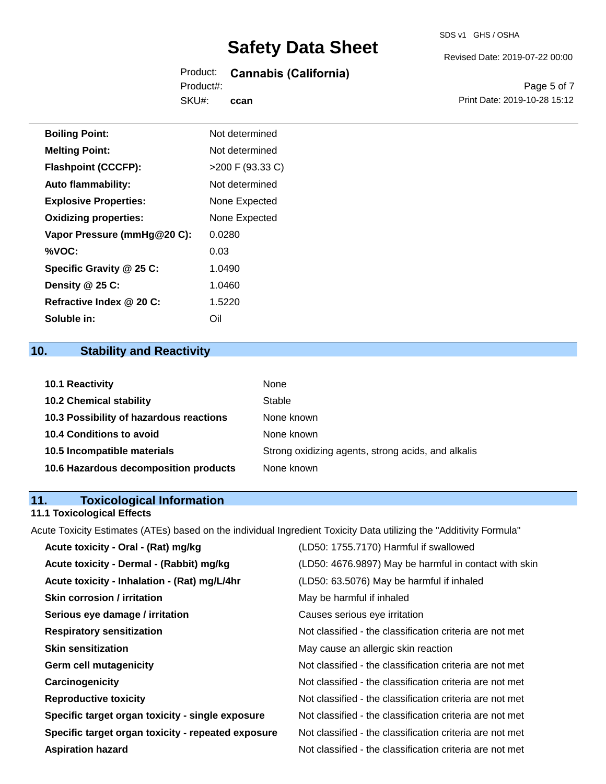### Product: **Cannabis (California)** Product#:

SKU#: **ccan** Revised Date: 2019-07-22 00:00

Page 5 of 7 Print Date: 2019-10-28 15:12

| <b>Boiling Point:</b>        | Not determined   |
|------------------------------|------------------|
| <b>Melting Point:</b>        | Not determined   |
| <b>Flashpoint (CCCFP):</b>   | >200 F (93.33 C) |
| <b>Auto flammability:</b>    | Not determined   |
| <b>Explosive Properties:</b> | None Expected    |
| <b>Oxidizing properties:</b> | None Expected    |
| Vapor Pressure (mmHg@20 C):  | 0.0280           |
| %VOC:                        | 0.03             |
| Specific Gravity @ 25 C:     | 1.0490           |
| Density @ 25 C:              | 1.0460           |
| Refractive Index @ 20 C:     | 1.5220           |
| Soluble in:                  | Oil              |

# **10. Stability and Reactivity**

| <b>10.1 Reactivity</b>                  | None                                               |
|-----------------------------------------|----------------------------------------------------|
| <b>10.2 Chemical stability</b>          | Stable                                             |
| 10.3 Possibility of hazardous reactions | None known                                         |
| <b>10.4 Conditions to avoid</b>         | None known                                         |
| 10.5 Incompatible materials             | Strong oxidizing agents, strong acids, and alkalis |
| 10.6 Hazardous decomposition products   | None known                                         |

# **11. Toxicological Information**

### **11.1 Toxicological Effects**

Acute Toxicity Estimates (ATEs) based on the individual Ingredient Toxicity Data utilizing the "Additivity Formula"

| Acute toxicity - Oral - (Rat) mg/kg                | (LD50: 1755.7170) Harmful if swallowed                   |
|----------------------------------------------------|----------------------------------------------------------|
| Acute toxicity - Dermal - (Rabbit) mg/kg           | (LD50: 4676.9897) May be harmful in contact with skin    |
| Acute toxicity - Inhalation - (Rat) mg/L/4hr       | (LD50: 63.5076) May be harmful if inhaled                |
| <b>Skin corrosion / irritation</b>                 | May be harmful if inhaled                                |
| Serious eye damage / irritation                    | Causes serious eye irritation                            |
| <b>Respiratory sensitization</b>                   | Not classified - the classification criteria are not met |
| <b>Skin sensitization</b>                          | May cause an allergic skin reaction                      |
| <b>Germ cell mutagenicity</b>                      | Not classified - the classification criteria are not met |
| Carcinogenicity                                    | Not classified - the classification criteria are not met |
| <b>Reproductive toxicity</b>                       | Not classified - the classification criteria are not met |
| Specific target organ toxicity - single exposure   | Not classified - the classification criteria are not met |
| Specific target organ toxicity - repeated exposure | Not classified - the classification criteria are not met |
| <b>Aspiration hazard</b>                           | Not classified - the classification criteria are not met |
|                                                    |                                                          |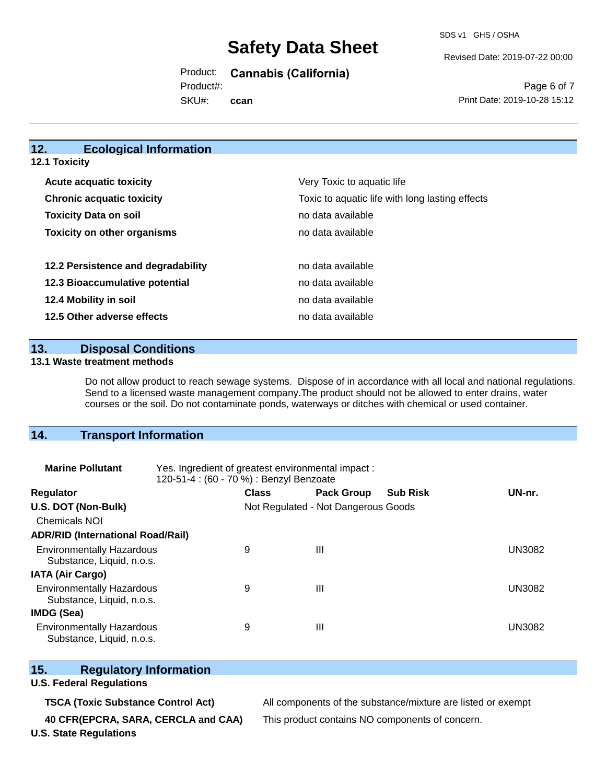SDS v1 GHS / OSHA

Revised Date: 2019-07-22 00:00

Product: **Cannabis (California)**

Product#:

SKU#: **ccan**

Page 6 of 7 Print Date: 2019-10-28 15:12

# **12. Ecological Information**

**12.1 Toxicity**

| <b>Acute acquatic toxicity</b>     | Very Toxic to aquatic life                      |
|------------------------------------|-------------------------------------------------|
| <b>Chronic acquatic toxicity</b>   | Toxic to aquatic life with long lasting effects |
| <b>Toxicity Data on soil</b>       | no data available                               |
| <b>Toxicity on other organisms</b> | no data available                               |
|                                    |                                                 |
| 12.2 Persistence and degradability | no data available                               |
| 12.3 Bioaccumulative potential     | no data available                               |
| 12.4 Mobility in soil              | no data available                               |
| 12.5 Other adverse effects         | no data available                               |

#### **13. Disposal Conditions**

#### **13.1 Waste treatment methods**

Do not allow product to reach sewage systems. Dispose of in accordance with all local and national regulations. Send to a licensed waste management company.The product should not be allowed to enter drains, water courses or the soil. Do not contaminate ponds, waterways or ditches with chemical or used container.

# **14. Transport Information**

| <b>Marine Pollutant</b>                                       | Yes. Ingredient of greatest environmental impact:<br>120-51-4 : (60 - 70 %) : Benzyl Benzoate |                                     |                   |                 |               |
|---------------------------------------------------------------|-----------------------------------------------------------------------------------------------|-------------------------------------|-------------------|-----------------|---------------|
| <b>Regulator</b>                                              |                                                                                               | <b>Class</b>                        | <b>Pack Group</b> | <b>Sub Risk</b> | UN-nr.        |
| U.S. DOT (Non-Bulk)                                           |                                                                                               | Not Regulated - Not Dangerous Goods |                   |                 |               |
| <b>Chemicals NOI</b>                                          |                                                                                               |                                     |                   |                 |               |
| <b>ADR/RID (International Road/Rail)</b>                      |                                                                                               |                                     |                   |                 |               |
| <b>Environmentally Hazardous</b><br>Substance, Liquid, n.o.s. |                                                                                               | 9                                   | $\mathbf{III}$    |                 | <b>UN3082</b> |
| <b>IATA (Air Cargo)</b>                                       |                                                                                               |                                     |                   |                 |               |
| <b>Environmentally Hazardous</b><br>Substance, Liquid, n.o.s. |                                                                                               | 9                                   | $\mathbf{III}$    |                 | <b>UN3082</b> |
| <b>IMDG (Sea)</b>                                             |                                                                                               |                                     |                   |                 |               |
| <b>Environmentally Hazardous</b><br>Substance, Liquid, n.o.s. |                                                                                               | 9                                   | $\mathbf{III}$    |                 | UN3082        |

### **15. Regulatory Information**

#### **U.S. Federal Regulations**

**TSCA (Toxic Substance Control Act)** All components of the substance/mixture are listed or exempt

**40 CFR(EPCRA, SARA, CERCLA and CAA)** This product contains NO components of concern.